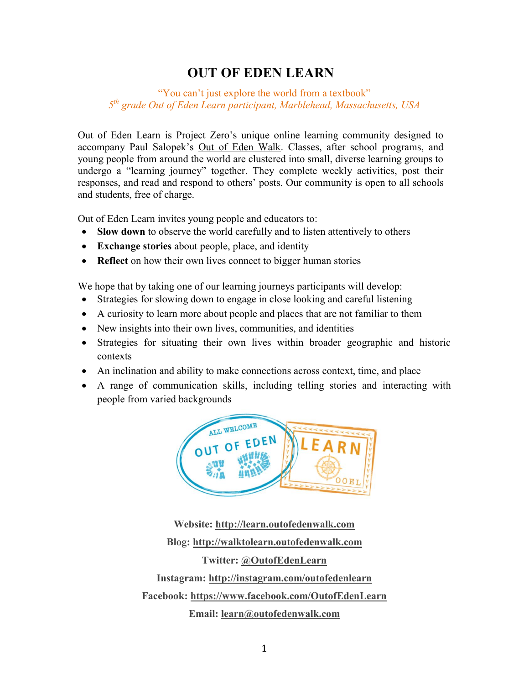### **OUT OF EDEN LEARN**

#### "You can't just explore the world from a textbook" *5 th grade Out of Eden Learn participant, Marblehead, Massachusetts, USA*

[Out of Eden Learn](http://learn.outofedenwalk.com/) is Project Zero's unique online learning community designed to accompany Paul Salopek's [Out of Eden Walk.](http://outofedenwalk.nationalgeographic.com/) Classes, after school programs, and young people from around the world are clustered into small, diverse learning groups to undergo a "learning journey" together. They complete weekly activities, post their responses, and read and respond to others' posts. Our community is open to all schools and students, free of charge.

Out of Eden Learn invites young people and educators to:

- **Slow down** to observe the world carefully and to listen attentively to others
- **Exchange stories** about people, place, and identity
- **Reflect** on how their own lives connect to bigger human stories

We hope that by taking one of our learning journeys participants will develop:

- Strategies for slowing down to engage in close looking and careful listening
- A curiosity to learn more about people and places that are not familiar to them
- New insights into their own lives, communities, and identities
- Strategies for situating their own lives within broader geographic and historic contexts
- An inclination and ability to make connections across context, time, and place
- A range of communication skills, including telling stories and interacting with people from varied backgrounds



**Website: [http://learn.outofedenwalk.com](http://learn.outofedenwalk.com/) Blog: [http://walktolearn.outofedenwalk.com](http://walktolearn.outofedenwalk.com/) Twitter: [@OutofEdenLearn](https://twitter.com/OutofEdenLearn) Instagram:<http://instagram.com/outofedenlearn> Facebook:<https://www.facebook.com/OutofEdenLearn> Email: [learn@outofedenwalk.com](mailto:learn@outofedenwalk.com)**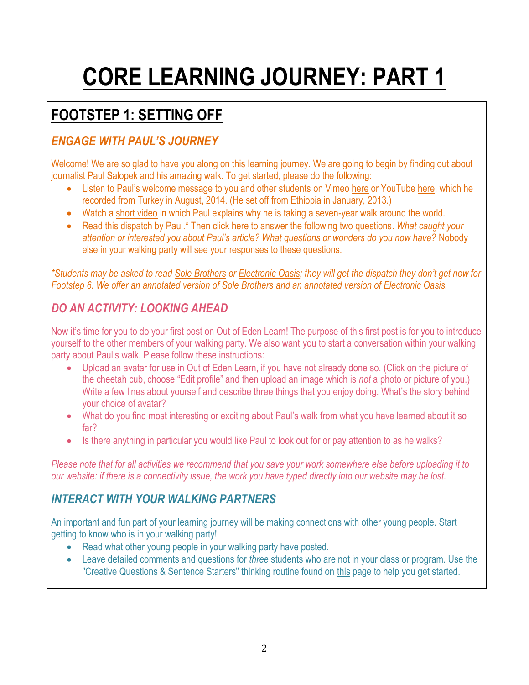# **CORE LEARNING JOURNEY: PART 1**

# **FOOTSTEP 1: SETTING OFF**

### *ENGAGE WITH PAUL'S JOURNEY*

Welcome! We are so glad to have you along on this learning journey. We are going to begin by finding out about journalist Paul Salopek and his amazing walk. To get started, please do the following:

- Listen to Paul's welcome message to you and other students on Vimeo [here](http://vimeo.com/107155620) or YouTub[e here,](https://www.youtube.com/watch?v=K9kIR6ebhpU&list=UUsuoH2mU0m0sbUCfkwk1kqg) which he recorded from Turkey in August, 2014. (He set off from Ethiopia in January, 2013.)
- Watch a [short video](http://www.outofedenwalk.com/media/2013/02/out-of-eden-walk-trailer/) in which Paul explains why he is taking a seven-year walk around the world.
- Read this dispatch by Paul.\* Then click here to answer the following two questions. *What caught your attention or interested you about Paul's article? What questions or wonders do you now have?* Nobody else in your walking party will see your responses to these questions.

*\*Students may be asked to read [Sole Brothers](http://outofedenwalk.nationalgeographic.com/2013/01/31/sole-brothers/) or [Electronic Oasis;](http://outofedenwalk.nationalgeographic.com/2013/01/28/electronic-oasis/) they will get the dispatch they don't get now for Footstep 6. We offer an [annotated version of Sole Brothers](http://learn.outofedenwalk.com/dispatch/4/) and an [annotated version of Electronic Oasis.](http://learn.outofedenwalk.com/dispatch/8/)*

### *DO AN ACTIVITY: LOOKING AHEAD*

Now it's time for you to do your first post on Out of Eden Learn! The purpose of this first post is for you to introduce yourself to the other members of your walking party. We also want you to start a conversation within your walking party about Paul's walk. Please follow these instructions:

- Upload an avatar for use in Out of Eden Learn, if you have not already done so. (Click on the picture of the cheetah cub, choose "Edit profile" and then upload an image which is *not* a photo or picture of you.) Write a few lines about yourself and describe three things that you enjoy doing. What's the story behind your choice of avatar?
- What do you find most interesting or exciting about Paul's walk from what you have learned about it so far?
- Is there anything in particular you would like Paul to look out for or pay attention to as he walks?

*Please note that for all activities we recommend that you save your work somewhere else before uploading it to our website: if there is a connectivity issue, the work you have typed directly into our website may be lost.*

### *INTERACT WITH YOUR WALKING PARTNERS*

An important and fun part of your learning journey will be making connections with other young people. Start getting to know who is in your walking party!

- Read what other young people in your walking party have posted.
- Leave detailed comments and questions for *three* students who are not in your class or program. Use the "Creative Questions & Sentence Starters" thinking routine found on [this](http://learn.outofedenwalk.com/thinking-routines/) page to help you get started.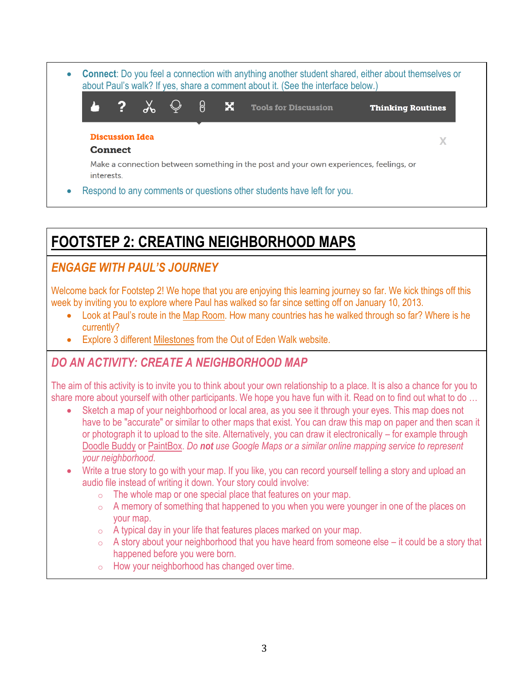**Connect**: Do you feel a connection with anything another student shared, either about themselves or about Paul's walk? If yes, share a comment about it. (See the interface below.)  $\chi$  $\bigcirc$ 2 ခြ x **Tools for Discussion Thinking Routines Discussion Idea**  $\mathbf{X}$ **Connect** Make a connection between something in the post and your own experiences, feelings, or interests. Respond to any comments or questions other students have left for you.

# **FOOTSTEP 2: CREATING NEIGHBORHOOD MAPS**

### *ENGAGE WITH PAUL'S JOURNEY*

Welcome back for Footstep 2! We hope that you are enjoying this learning journey so far. We kick things off this week by inviting you to explore where Paul has walked so far since setting off on January 10, 2013.

- Look at Paul's route in the Map [Room.](http://www.outofedenwalk.com/map-room/) How many countries has he walked through so far? Where is he currently?
- Explore 3 different [Milestones](http://www.outofedenwalk.com/milestones/) from the Out of Eden Walk website.

### *DO AN ACTIVITY: CREATE A NEIGHBORHOOD MAP*

The aim of this activity is to invite you to think about your own relationship to a place. It is also a chance for you to share more about yourself with other participants. We hope you have fun with it. Read on to find out what to do …

- Sketch a map of your neighborhood or local area, as you see it through your eyes. This map does not have to be "accurate" or similar to other maps that exist. You can draw this map on paper and then scan it or photograph it to upload to the site. Alternatively, you can draw it electronically – for example through [Doodle Buddy](https://itunes.apple.com/us/app/doodle-buddy-for-ipad-paint/id364201083?mt=8) or [PaintBox.](http://www.softpedia.com/get/Multimedia/Graphic/Graphic-Viewers/PaintBox.shtml) *Do not use Google Maps or a similar online mapping service to represent your neighborhood.*
- Write a true story to go with your map. If you like, you can record yourself telling a story and upload an audio file instead of writing it down. Your story could involve:
	- $\circ$  The whole map or one special place that features on your map.
	- o A memory of something that happened to you when you were younger in one of the places on your map.
	- $\circ$  A typical day in your life that features places marked on your map.
	- $\circ$  A story about your neighborhood that you have heard from someone else it could be a story that happened before you were born.
	- $\circ$  How your neighborhood has changed over time.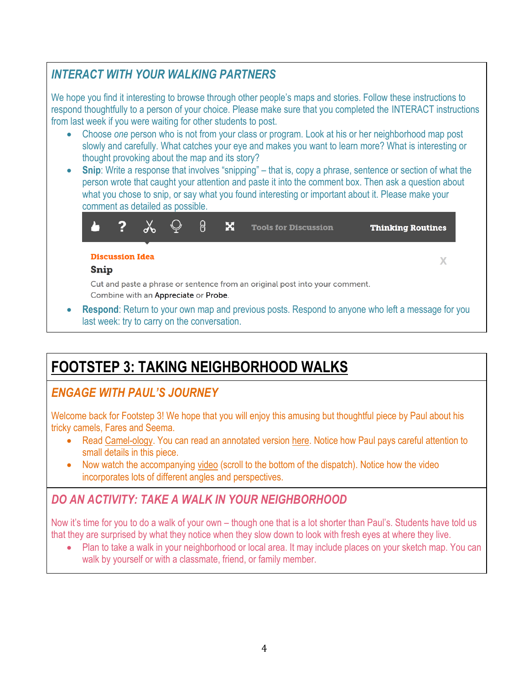### *INTERACT WITH YOUR WALKING PARTNERS*

We hope you find it interesting to browse through other people's maps and stories. Follow these instructions to respond thoughtfully to a person of your choice. Please make sure that you completed the INTERACT instructions from last week if you were waiting for other students to post.

- Choose *one* person who is not from your class or program. Look at his or her neighborhood map post slowly and carefully. What catches your eye and makes you want to learn more? What is interesting or thought provoking about the map and its story?
- Snip: Write a response that involves "snipping" that is, copy a phrase, sentence or section of what the person wrote that caught your attention and paste it into the comment box. Then ask a question about what you chose to snip, or say what you found interesting or important about it. Please make your comment as detailed as possible.



 **Respond**: Return to your own map and previous posts. Respond to anyone who left a message for you last week: try to carry on the conversation.

### **FOOTSTEP 3: TAKING NEIGHBORHOOD WALKS**

### *ENGAGE WITH PAUL'S JOURNEY*

Welcome back for Footstep 3! We hope that you will enjoy this amusing but thoughtful piece by Paul about his tricky camels, Fares and Seema.

- Read [Camel-ology.](http://outofedenwalk.nationalgeographic.com/2013/12/12/camel-ology/) You can read an annotated version [here.](http://learn.outofedenwalk.com/dispatch/2/) Notice how Paul pays careful attention to small details in this piece.
- Now watch the accompanying [video](http://outofedenwalk.nationalgeographic.com/2013/12/12/camel-ology/) (scroll to the bottom of the dispatch). Notice how the video incorporates lots of different angles and perspectives.

### *DO AN ACTIVITY: TAKE A WALK IN YOUR NEIGHBORHOOD*

Now it's time for you to do a walk of your own – though one that is a lot shorter than Paul's. Students have told us that they are surprised by what they notice when they slow down to look with fresh eyes at where they live.

• Plan to take a walk in your neighborhood or local area. It may include places on your sketch map. You can walk by yourself or with a classmate, friend, or family member.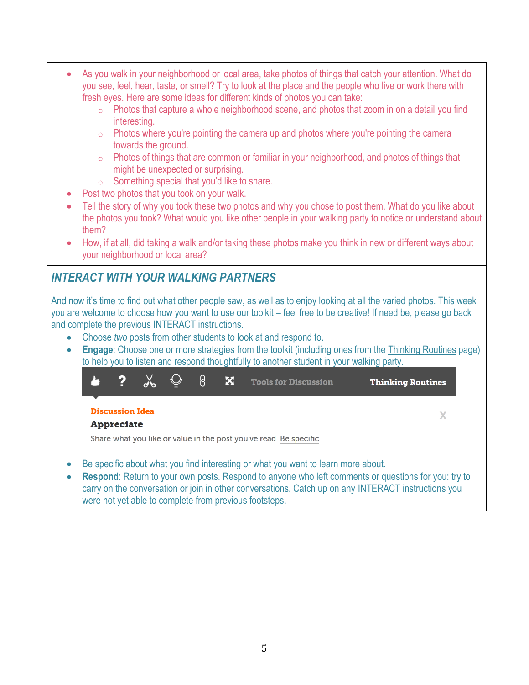- As you walk in your neighborhood or local area, take photos of things that catch your attention. What do you see, feel, hear, taste, or smell? Try to look at the place and the people who live or work there with fresh eyes. Here are some ideas for different kinds of photos you can take:
	- o Photos that capture a whole neighborhood scene, and photos that zoom in on a detail you find interesting.
	- $\circ$  Photos where you're pointing the camera up and photos where you're pointing the camera towards the ground.
	- o Photos of things that are common or familiar in your neighborhood, and photos of things that might be unexpected or surprising.
	- $\circ$  Something special that you'd like to share.
- Post two photos that you took on your walk.
- Tell the story of why you took these two photos and why you chose to post them. What do you like about the photos you took? What would you like other people in your walking party to notice or understand about them?
- How, if at all, did taking a walk and/or taking these photos make you think in new or different ways about your neighborhood or local area?

### *INTERACT WITH YOUR WALKING PARTNERS*

And now it's time to find out what other people saw, as well as to enjoy looking at all the varied photos. This week you are welcome to choose how you want to use our toolkit – feel free to be creative! If need be, please go back and complete the previous INTERACT instructions.

- Choose *two* posts from other students to look at and respond to.
- **Engage**: Choose one or more strategies from the toolkit (including ones from the [Thinking Routines](http://learn.outofedenwalk.com/thinking-routines/) page) to help you to listen and respond thoughtfully to another student in your walking party.

|                                                                    | $\cdot$ ? | $\gamma$ $\varphi$ |  | <u>පි</u> | × | <b>Tools for Discussion</b> | <b>Thinking Routines</b> |
|--------------------------------------------------------------------|-----------|--------------------|--|-----------|---|-----------------------------|--------------------------|
| <b>Discussion Idea</b><br><b>Appreciate</b>                        |           |                    |  |           |   |                             |                          |
| Share what you like or value in the post you've read. Be specific. |           |                    |  |           |   |                             |                          |

- Be specific about what you find interesting or what you want to learn more about.
- **Respond**: Return to your own posts. Respond to anyone who left comments or questions for you: try to carry on the conversation or join in other conversations. Catch up on any INTERACT instructions you were not yet able to complete from previous footsteps.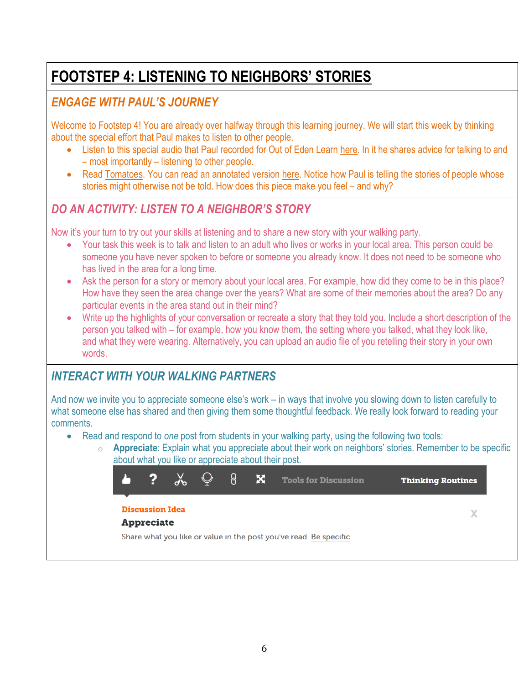# **FOOTSTEP 4: LISTENING TO NEIGHBORS' STORIES**

#### *ENGAGE WITH PAUL'S JOURNEY*

Welcome to Footstep 4! You are already over halfway through this learning journey. We will start this week by thinking about the special effort that Paul makes to listen to other people.

- Listen to this special audio that Paul recorded for Out of Eden Learn [here.](http://learn.outofedenwalk.com/forum/educator-resources/paul-salopek-materials/paul-salopek-talking-and-listening-to-people-footstep-four-audio/) In it he shares advice for talking to and – most importantly – listening to other people.
- Read [Tomatoes.](http://outofedenwalk.nationalgeographic.com/2014/01/09/tomatoes/) You can read an annotated version [here.](http://learn.outofedenwalk.com/dispatch/5/) Notice how Paul is telling the stories of people whose stories might otherwise not be told. How does this piece make you feel – and why?

### *DO AN ACTIVITY: LISTEN TO A NEIGHBOR'S STORY*

Now it's your turn to try out your skills at listening and to share a new story with your walking party.

- Your task this week is to talk and listen to an adult who lives or works in your local area. This person could be someone you have never spoken to before or someone you already know. It does not need to be someone who has lived in the area for a long time.
- Ask the person for a story or memory about your local area. For example, how did they come to be in this place? How have they seen the area change over the years? What are some of their memories about the area? Do any particular events in the area stand out in their mind?
- Write up the highlights of your conversation or recreate a story that they told you. Include a short description of the person you talked with – for example, how you know them, the setting where you talked, what they look like, and what they were wearing. Alternatively, you can upload an audio file of you retelling their story in your own words.

### *INTERACT WITH YOUR WALKING PARTNERS*

And now we invite you to appreciate someone else's work – in ways that involve you slowing down to listen carefully to what someone else has shared and then giving them some thoughtful feedback. We really look forward to reading your comments.

- Read and respond to *one* post from students in your walking party, using the following two tools:
	- o **Appreciate**: Explain what you appreciate about their work on neighbors' stories. Remember to be specific about what you like or appreciate about their post.

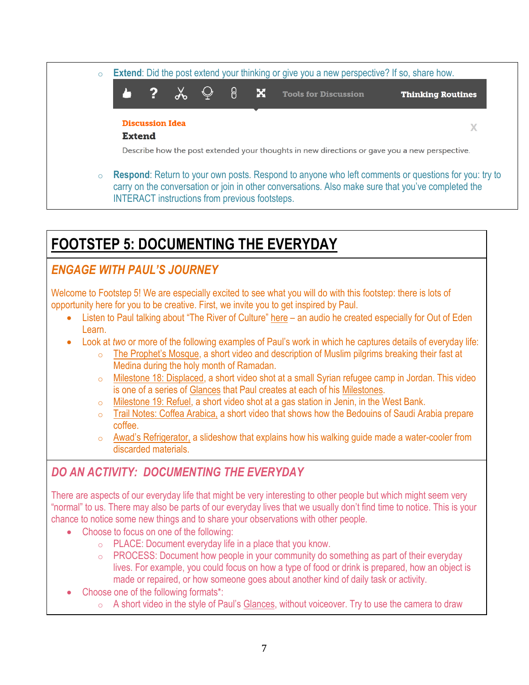

### **FOOTSTEP 5: DOCUMENTING THE EVERYDAY**

### *ENGAGE WITH PAUL'S JOURNEY*

Welcome to Footstep 5! We are especially excited to see what you will do with this footstep: there is lots of opportunity here for you to be creative. First, we invite you to get inspired by Paul.

- Listen to Paul talking about "The River of Culture" [here](http://learn.outofedenwalk.com/forum/educator-resources/paul-salopek-materials/the-river-of-culture-by-paul-salopek-audio-and-text/) an audio he created especially for Out of Eden Learn.
- Look at *two* or more of the following examples of Paul's work in which he captures details of everyday life:
	- [The Prophet's Mosque](http://outofedenwalk.nationalgeographic.com/2013/09/21/the-prophets-mosque/), a short video and description of Muslim pilgrims breaking their fast at Medina during the holy month of Ramadan.
	- o [Milestone 18: Displaced,](http://www.outofedenwalk.com/media/2014/01/milestone-18-displaced/) a short video shot at a small Syrian refugee camp in Jordan. This video is one of a series of [Glances](http://www.outofedenwalk.com/milestones/glances/) that Paul creates at each of his [Milestones.](http://www.outofedenwalk.com/milestones/)
	- o [Milestone 19: Refuel,](http://www.outofedenwalk.com/media/2014/03/milestone-19-refuel/) a short video shot at a gas station in Jenin, in the West Bank.
	- o [Trail Notes: Coffea Arabica,](http://outofedenwalk.nationalgeographic.com/2013/10/25/trail-notes-coffea-arabica-2/) a short video that shows how the Bedouins of Saudi Arabia prepare coffee.
	- o [Awad's Refrigerator,](http://outofedenwalk.nationalgeographic.com/2013/10/30/trail-notes-awads-refrigerator/) a slideshow that explains how his walking guide made a water-cooler from discarded materials.

### *DO AN ACTIVITY: DOCUMENTING THE EVERYDAY*

There are aspects of our everyday life that might be very interesting to other people but which might seem very "normal" to us. There may also be parts of our everyday lives that we usually don't find time to notice. This is your chance to notice some new things and to share your observations with other people.

- Choose to focus on one of the following:
	- o PLACE: Document everyday life in a place that you know.
	- $\circ$  PROCESS: Document how people in your community do something as part of their everyday lives. For example, you could focus on how a type of food or drink is prepared, how an object is made or repaired, or how someone goes about another kind of daily task or activity.
- Choose one of the following formats\*:
	- o A short video in the style of Paul's [Glances,](http://www.outofedenwalk.com/milestones/glances/) without voiceover. Try to use the camera to draw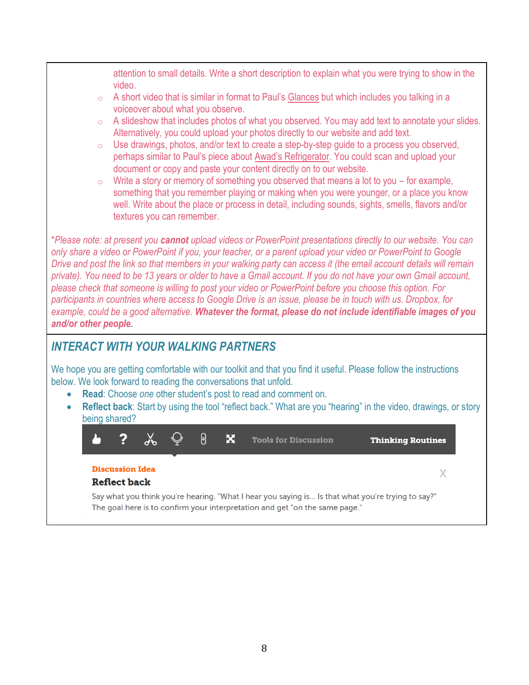attention to small details. Write a short description to explain what you were trying to show in the video.

- $\circ$  A short video that is similar in format to Paul's [Glances](http://www.outofedenwalk.com/milestones/glances/) but which includes you talking in a voiceover about what you observe.
- o A slideshow that includes photos of what you observed. You may add text to annotate your slides. Alternatively, you could upload your photos directly to our website and add text.
- o Use drawings, photos, and/or text to create a step-by-step guide to a process you observed, perhaps similar to Paul's piece about [Awad's Refrigerator](http://outofedenwalk.nationalgeographic.com/2013/10/30/trail-notes-awads-refrigerator/). You could scan and upload your document or copy and paste your content directly on to our website.
- $\circ$  Write a story or memory of something you observed that means a lot to you for example, something that you remember playing or making when you were younger, or a place you know well. Write about the place or process in detail, including sounds, sights, smells, flavors and/or textures you can remember.

\**Please note: at present you cannot upload videos or PowerPoint presentations directly to our website. You can only share a video or PowerPoint if you, your teacher, or a parent upload your video or PowerPoint to Google Drive and post the link so that members in your walking party can access it (the email account details will remain private). You need to be 13 years or older to have a Gmail account. If you do not have your own Gmail account, please check that someone is willing to post your video or PowerPoint before you choose this option. For participants in countries where access to Google Drive is an issue, please be in touch with us. Dropbox, for example, could be a good alternative. Whatever the format, please do not include identifiable images of you and/or other people.*

### *INTERACT WITH YOUR WALKING PARTNERS*

We hope you are getting comfortable with our toolkit and that you find it useful. Please follow the instructions below. We look forward to reading the conversations that unfold.

- **Read**: Choose *one* other student's post to read and comment on.
- **Reflect back**: Start by using the tool "reflect back." What are you "hearing" in the video, drawings, or story being shared?



 $\bf{X}$ 

#### **Discussion Idea**

#### **Reflect back**

Say what you think you're hearing. "What I hear you saying is... Is that what you're trying to say?" The goal here is to confirm your interpretation and get "on the same page."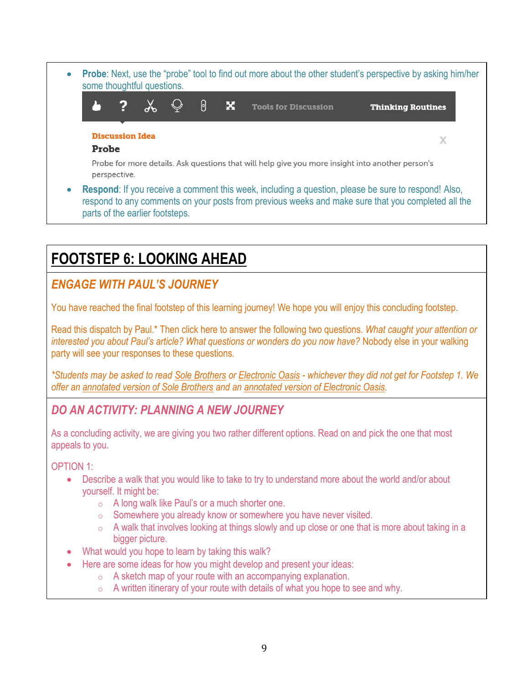**Probe**: Next, use the "probe" tool to find out more about the other student's perspective by asking him/her some thoughtful questions.  $\overline{\mathbf{2}}$  $\chi$ ႙ × **Tools for Discussion Thinking Routines Discussion Idea**  $\chi$ Probe Probe for more details. Ask questions that will help give you more insight into another person's perspective. **Respond**: If you receive a comment this week, including a question, please be sure to respond! Also, respond to any comments on your posts from previous weeks and make sure that you completed all the parts of the earlier footsteps.

## **FOOTSTEP 6: LOOKING AHEAD**

### *ENGAGE WITH PAUL'S JOURNEY*

You have reached the final footstep of this learning journey! We hope you will enjoy this concluding footstep.

Read this dispatch by Paul.\* Then click here to answer the following two questions. *What caught your attention or interested you about Paul's article? What questions or wonders do you now have?* Nobody else in your walking party will see your responses to these questions.

*\*Students may be asked to read [Sole Brothers](http://outofedenwalk.nationalgeographic.com/2013/01/31/sole-brothers/) or [Electronic Oasis](http://outofedenwalk.nationalgeographic.com/2013/01/28/electronic-oasis/) - whichever they did not get for Footstep 1. We offer an [annotated version of Sole Brothers](http://learn.outofedenwalk.com/dispatch/4/) and an [annotated version of Electronic Oasis.](http://learn.outofedenwalk.com/dispatch/8/)*

### *DO AN ACTIVITY: PLANNING A NEW JOURNEY*

As a concluding activity, we are giving you two rather different options. Read on and pick the one that most appeals to you.

OPTION 1:

- Describe a walk that you would like to take to try to understand more about the world and/or about yourself. It might be:
	- o A long walk like Paul's or a much shorter one.
	- o Somewhere you already know or somewhere you have never visited.
	- $\circ$  A walk that involves looking at things slowly and up close or one that is more about taking in a bigger picture.
- What would you hope to learn by taking this walk?
- Here are some ideas for how you might develop and present your ideas:
	- $\circ$  A sketch map of your route with an accompanying explanation.
	- $\circ$  A written itinerary of your route with details of what you hope to see and why.